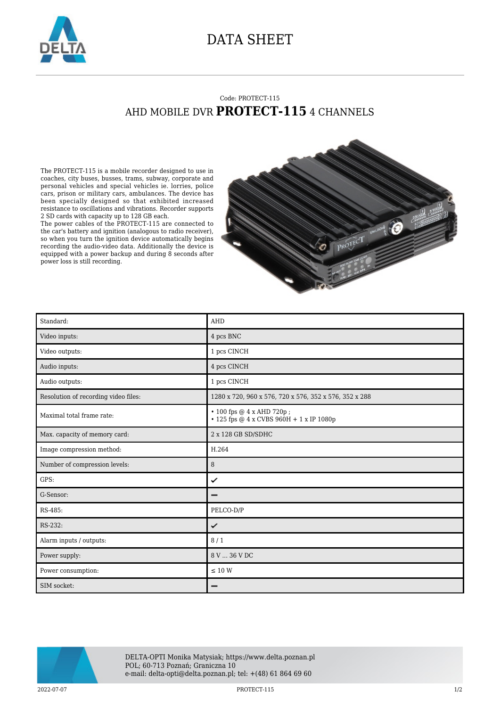

## DATA SHEET

## Code: PROTECT-115 AHD MOBILE DVR **PROTECT-115** 4 CHANNELS

The PROTECT-115 is a mobile recorder designed to use in coaches, city buses, busses, trams, subway, corporate and personal vehicles and special vehicles ie. lorries, police cars, prison or military cars, ambulances. The device has been specially designed so that exhibited increased resistance to oscillations and vibrations. Recorder supports 2 SD cards with capacity up to 128 GB each.

The power cables of the PROTECT-115 are connected to the car's battery and ignition (analogous to radio receiver), so when you turn the ignition device automatically begins recording the audio-video data. Additionally the device is equipped with a power backup and during 8 seconds after power loss is still recording.



| Standard:                            | <b>AHD</b>                                                            |
|--------------------------------------|-----------------------------------------------------------------------|
| Video inputs:                        | 4 pcs BNC                                                             |
| Video outputs:                       | 1 pcs CINCH                                                           |
| Audio inputs:                        | 4 pcs CINCH                                                           |
| Audio outputs:                       | 1 pcs CINCH                                                           |
| Resolution of recording video files: | 1280 x 720, 960 x 576, 720 x 576, 352 x 576, 352 x 288                |
| Maximal total frame rate:            | • 100 fps @ 4 x AHD 720p;<br>• 125 fps @ 4 x CVBS 960H + 1 x IP 1080p |
| Max. capacity of memory card:        | 2 x 128 GB SD/SDHC                                                    |
| Image compression method:            | H.264                                                                 |
| Number of compression levels:        | 8                                                                     |
| GPS:                                 | ✓                                                                     |
| G-Sensor:                            |                                                                       |
| RS-485:                              | PELCO-D/P                                                             |
| RS-232:                              | ✓                                                                     |
| Alarm inputs / outputs:              | 8/1                                                                   |
| Power supply:                        | 8 V  36 V DC                                                          |
| Power consumption:                   | $\leq 10$ W                                                           |
| SIM socket:                          |                                                                       |